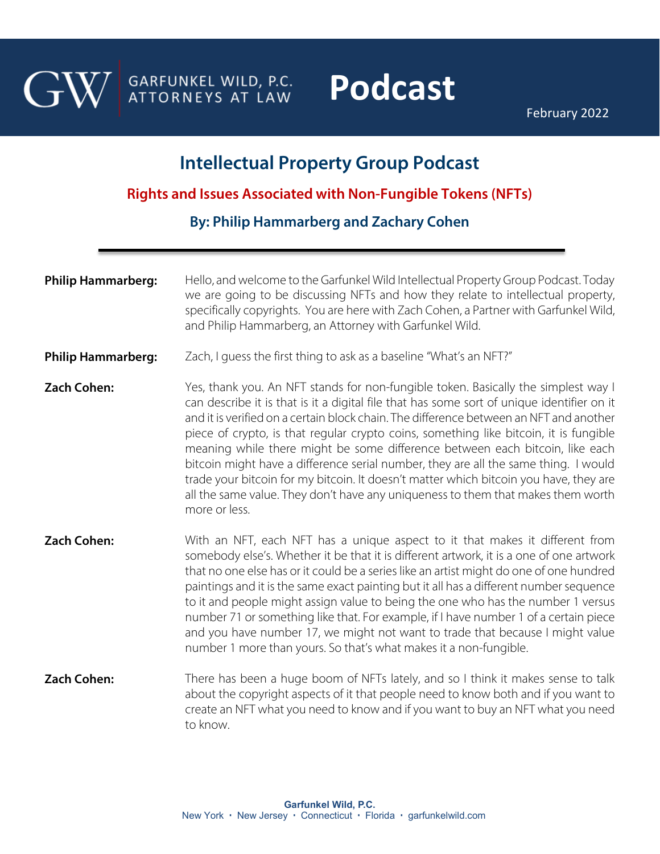

GARFUNKEL WILD, P.C. ATTORNEYS AT LAW

## **Podcast**

February 2022

## **Intellectual Property Group Podcast**

**Rights and Issues Associated with Non-Fungible Tokens (NFTs)**

**By: [Philip Hammarberg](https://garfunkelwild.com/attorneys-2/hammarberg-philip/) and Zachary Cohen** 

- **Philip Hammarberg:** Hello, and welcome to the Garfunkel Wild Intellectual Property Group Podcast. Today we are going to be discussing NFTs and how they relate to intellectual property, specifically copyrights. You are here with Zach Cohen, a Partner with Garfunkel Wild, and Philip Hammarberg, an Attorney with Garfunkel Wild.
- **Philip Hammarberg:** Zach, I guess the first thing to ask as a baseline "What's an NFT?"
- **Zach Cohen:** Yes, thank you. An NFT stands for non-fungible token. Basically the simplest way I can describe it is that is it a digital file that has some sort of unique identifier on it and it is verified on a certain block chain. The difference between an NFT and another piece of crypto, is that regular crypto coins, something like bitcoin, it is fungible meaning while there might be some difference between each bitcoin, like each bitcoin might have a difference serial number, they are all the same thing. I would trade your bitcoin for my bitcoin. It doesn't matter which bitcoin you have, they are all the same value. They don't have any uniqueness to them that makes them worth more or less.
- **Zach Cohen:** With an NFT, each NFT has a unique aspect to it that makes it different from somebody else's. Whether it be that it is different artwork, it is a one of one artwork that no one else has or it could be a series like an artist might do one of one hundred paintings and it is the same exact painting but it all has a different number sequence to it and people might assign value to being the one who has the number 1 versus number 71 or something like that. For example, if I have number 1 of a certain piece and you have number 17, we might not want to trade that because I might value number 1 more than yours. So that's what makes it a non-fungible.
- **Zach Cohen:** There has been a huge boom of NFTs lately, and so I think it makes sense to talk about the copyright aspects of it that people need to know both and if you want to create an NFT what you need to know and if you want to buy an NFT what you need to know.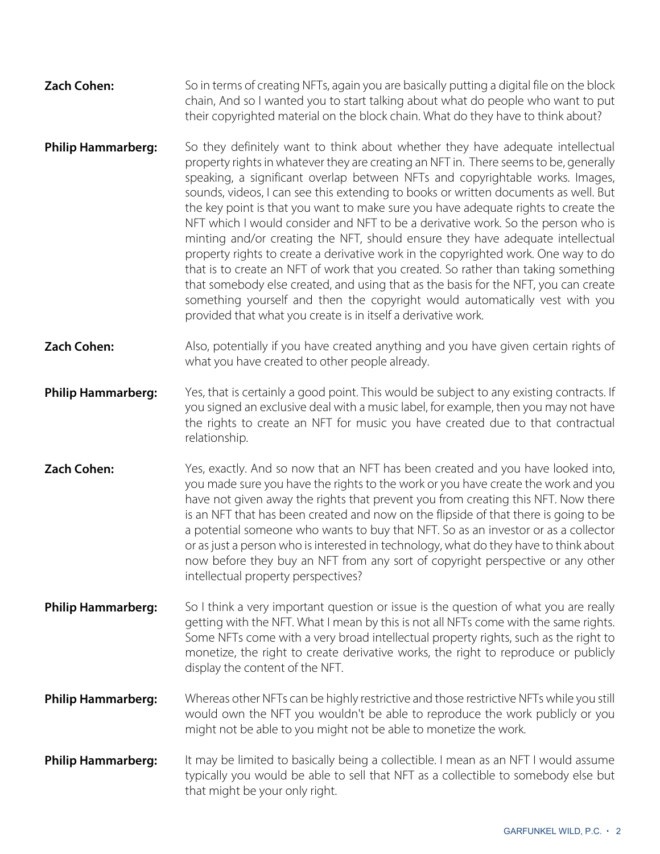| <b>Zach Cohen:</b> | So in terms of creating NFTs, again you are basically putting a digital file on the block |
|--------------------|-------------------------------------------------------------------------------------------|
|                    | chain, And so I wanted you to start talking about what do people who want to put          |
|                    | their copyrighted material on the block chain. What do they have to think about?          |

- **Philip Hammarberg:** So they definitely want to think about whether they have adequate intellectual property rights in whatever they are creating an NFT in. There seems to be, generally speaking, a significant overlap between NFTs and copyrightable works. Images, sounds, videos, I can see this extending to books or written documents as well. But the key point is that you want to make sure you have adequate rights to create the NFT which I would consider and NFT to be a derivative work. So the person who is minting and/or creating the NFT, should ensure they have adequate intellectual property rights to create a derivative work in the copyrighted work. One way to do that is to create an NFT of work that you created. So rather than taking something that somebody else created, and using that as the basis for the NFT, you can create something yourself and then the copyright would automatically vest with you provided that what you create is in itself a derivative work.
- **Zach Cohen:** Also, potentially if you have created anything and you have given certain rights of what you have created to other people already.
- **Philip Hammarberg:** Yes, that is certainly a good point. This would be subject to any existing contracts. If you signed an exclusive deal with a music label, for example, then you may not have the rights to create an NFT for music you have created due to that contractual relationship.
- **Zach Cohen:** *Yes, exactly. And so now that an NFT has been created and you have looked into,* you made sure you have the rights to the work or you have create the work and you have not given away the rights that prevent you from creating this NFT. Now there is an NFT that has been created and now on the flipside of that there is going to be a potential someone who wants to buy that NFT. So as an investor or as a collector or as just a person who is interested in technology, what do they have to think about now before they buy an NFT from any sort of copyright perspective or any other intellectual property perspectives?
- **Philip Hammarberg:** So I think a very important question or issue is the question of what you are really getting with the NFT. What I mean by this is not all NFTs come with the same rights. Some NFTs come with a very broad intellectual property rights, such as the right to monetize, the right to create derivative works, the right to reproduce or publicly display the content of the NFT.
- **Philip Hammarberg:** Whereas other NFTs can be highly restrictive and those restrictive NFTs while you still would own the NFT you wouldn't be able to reproduce the work publicly or you might not be able to you might not be able to monetize the work.
- **Philip Hammarberg:** It may be limited to basically being a collectible. I mean as an NFT I would assume typically you would be able to sell that NFT as a collectible to somebody else but that might be your only right.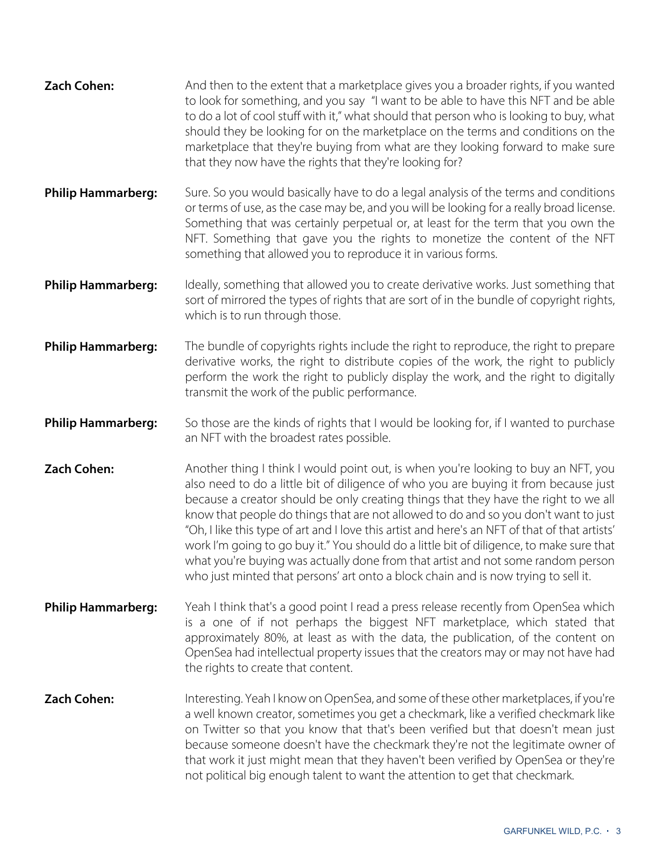| <b>Zach Cohen:</b>        | And then to the extent that a marketplace gives you a broader rights, if you wanted<br>to look for something, and you say "I want to be able to have this NFT and be able<br>to do a lot of cool stuff with it," what should that person who is looking to buy, what<br>should they be looking for on the marketplace on the terms and conditions on the<br>marketplace that they're buying from what are they looking forward to make sure<br>that they now have the rights that they're looking for?                                                                                                                                                                                                                           |
|---------------------------|----------------------------------------------------------------------------------------------------------------------------------------------------------------------------------------------------------------------------------------------------------------------------------------------------------------------------------------------------------------------------------------------------------------------------------------------------------------------------------------------------------------------------------------------------------------------------------------------------------------------------------------------------------------------------------------------------------------------------------|
| <b>Philip Hammarberg:</b> | Sure. So you would basically have to do a legal analysis of the terms and conditions<br>or terms of use, as the case may be, and you will be looking for a really broad license.<br>Something that was certainly perpetual or, at least for the term that you own the<br>NFT. Something that gave you the rights to monetize the content of the NFT<br>something that allowed you to reproduce it in various forms.                                                                                                                                                                                                                                                                                                              |
| <b>Philip Hammarberg:</b> | Ideally, something that allowed you to create derivative works. Just something that<br>sort of mirrored the types of rights that are sort of in the bundle of copyright rights,<br>which is to run through those.                                                                                                                                                                                                                                                                                                                                                                                                                                                                                                                |
| <b>Philip Hammarberg:</b> | The bundle of copyrights rights include the right to reproduce, the right to prepare<br>derivative works, the right to distribute copies of the work, the right to publicly<br>perform the work the right to publicly display the work, and the right to digitally<br>transmit the work of the public performance.                                                                                                                                                                                                                                                                                                                                                                                                               |
| <b>Philip Hammarberg:</b> | So those are the kinds of rights that I would be looking for, if I wanted to purchase<br>an NFT with the broadest rates possible.                                                                                                                                                                                                                                                                                                                                                                                                                                                                                                                                                                                                |
| <b>Zach Cohen:</b>        | Another thing I think I would point out, is when you're looking to buy an NFT, you<br>also need to do a little bit of diligence of who you are buying it from because just<br>because a creator should be only creating things that they have the right to we all<br>know that people do things that are not allowed to do and so you don't want to just<br>"Oh, I like this type of art and I love this artist and here's an NFT of that of that artists'<br>work I'm going to go buy it." You should do a little bit of diligence, to make sure that<br>what you're buying was actually done from that artist and not some random person<br>who just minted that persons' art onto a block chain and is now trying to sell it. |
| <b>Philip Hammarberg:</b> | Yeah I think that's a good point I read a press release recently from OpenSea which<br>is a one of if not perhaps the biggest NFT marketplace, which stated that<br>approximately 80%, at least as with the data, the publication, of the content on<br>OpenSea had intellectual property issues that the creators may or may not have had<br>the rights to create that content.                                                                                                                                                                                                                                                                                                                                                 |
| <b>Zach Cohen:</b>        | Interesting. Yeah I know on OpenSea, and some of these other marketplaces, if you're<br>a well known creator, sometimes you get a checkmark, like a verified checkmark like<br>on Twitter so that you know that that's been verified but that doesn't mean just<br>because someone doesn't have the checkmark they're not the legitimate owner of<br>that work it just might mean that they haven't been verified by OpenSea or they're<br>not political big enough talent to want the attention to get that checkmark.                                                                                                                                                                                                          |